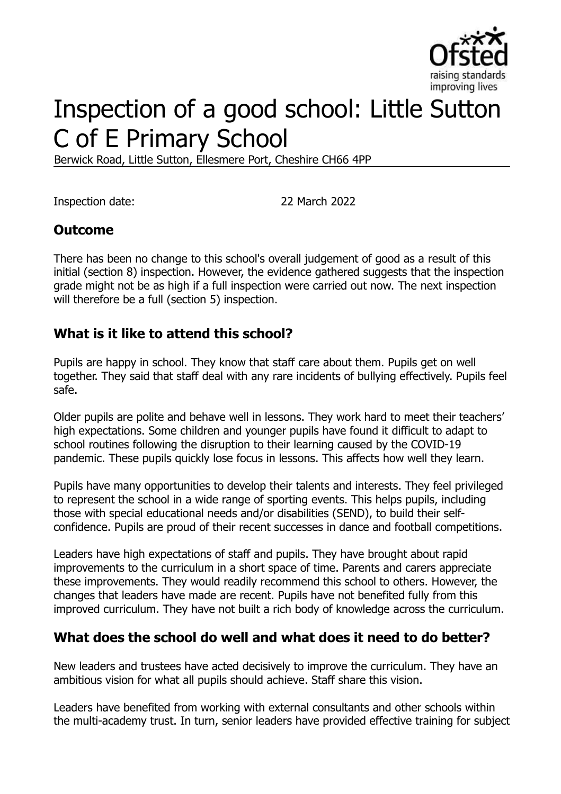

# Inspection of a good school: Little Sutton C of E Primary School

Berwick Road, Little Sutton, Ellesmere Port, Cheshire CH66 4PP

Inspection date: 22 March 2022

### **Outcome**

There has been no change to this school's overall judgement of good as a result of this initial (section 8) inspection. However, the evidence gathered suggests that the inspection grade might not be as high if a full inspection were carried out now. The next inspection will therefore be a full (section 5) inspection.

#### **What is it like to attend this school?**

Pupils are happy in school. They know that staff care about them. Pupils get on well together. They said that staff deal with any rare incidents of bullying effectively. Pupils feel safe.

Older pupils are polite and behave well in lessons. They work hard to meet their teachers' high expectations. Some children and younger pupils have found it difficult to adapt to school routines following the disruption to their learning caused by the COVID-19 pandemic. These pupils quickly lose focus in lessons. This affects how well they learn.

Pupils have many opportunities to develop their talents and interests. They feel privileged to represent the school in a wide range of sporting events. This helps pupils, including those with special educational needs and/or disabilities (SEND), to build their selfconfidence. Pupils are proud of their recent successes in dance and football competitions.

Leaders have high expectations of staff and pupils. They have brought about rapid improvements to the curriculum in a short space of time. Parents and carers appreciate these improvements. They would readily recommend this school to others. However, the changes that leaders have made are recent. Pupils have not benefited fully from this improved curriculum. They have not built a rich body of knowledge across the curriculum.

#### **What does the school do well and what does it need to do better?**

New leaders and trustees have acted decisively to improve the curriculum. They have an ambitious vision for what all pupils should achieve. Staff share this vision.

Leaders have benefited from working with external consultants and other schools within the multi-academy trust. In turn, senior leaders have provided effective training for subject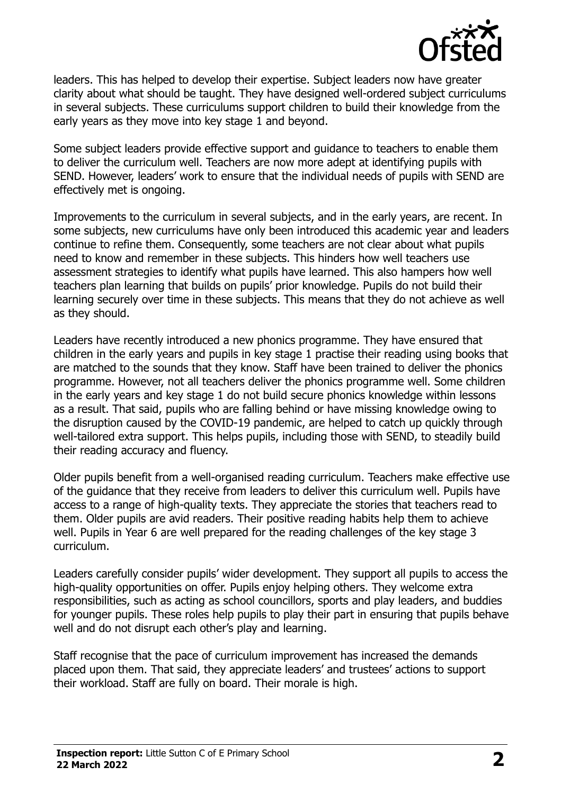

leaders. This has helped to develop their expertise. Subject leaders now have greater clarity about what should be taught. They have designed well-ordered subject curriculums in several subjects. These curriculums support children to build their knowledge from the early years as they move into key stage 1 and beyond.

Some subject leaders provide effective support and guidance to teachers to enable them to deliver the curriculum well. Teachers are now more adept at identifying pupils with SEND. However, leaders' work to ensure that the individual needs of pupils with SEND are effectively met is ongoing.

Improvements to the curriculum in several subjects, and in the early years, are recent. In some subjects, new curriculums have only been introduced this academic year and leaders continue to refine them. Consequently, some teachers are not clear about what pupils need to know and remember in these subjects. This hinders how well teachers use assessment strategies to identify what pupils have learned. This also hampers how well teachers plan learning that builds on pupils' prior knowledge. Pupils do not build their learning securely over time in these subjects. This means that they do not achieve as well as they should.

Leaders have recently introduced a new phonics programme. They have ensured that children in the early years and pupils in key stage 1 practise their reading using books that are matched to the sounds that they know. Staff have been trained to deliver the phonics programme. However, not all teachers deliver the phonics programme well. Some children in the early years and key stage 1 do not build secure phonics knowledge within lessons as a result. That said, pupils who are falling behind or have missing knowledge owing to the disruption caused by the COVID-19 pandemic, are helped to catch up quickly through well-tailored extra support. This helps pupils, including those with SEND, to steadily build their reading accuracy and fluency.

Older pupils benefit from a well-organised reading curriculum. Teachers make effective use of the guidance that they receive from leaders to deliver this curriculum well. Pupils have access to a range of high-quality texts. They appreciate the stories that teachers read to them. Older pupils are avid readers. Their positive reading habits help them to achieve well. Pupils in Year 6 are well prepared for the reading challenges of the key stage 3 curriculum.

Leaders carefully consider pupils' wider development. They support all pupils to access the high-quality opportunities on offer. Pupils enjoy helping others. They welcome extra responsibilities, such as acting as school councillors, sports and play leaders, and buddies for younger pupils. These roles help pupils to play their part in ensuring that pupils behave well and do not disrupt each other's play and learning.

Staff recognise that the pace of curriculum improvement has increased the demands placed upon them. That said, they appreciate leaders' and trustees' actions to support their workload. Staff are fully on board. Their morale is high.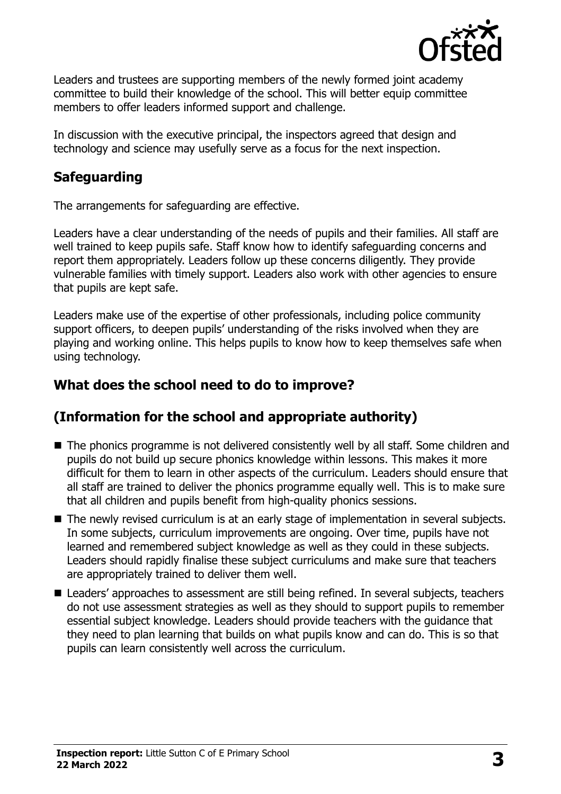

Leaders and trustees are supporting members of the newly formed joint academy committee to build their knowledge of the school. This will better equip committee members to offer leaders informed support and challenge.

In discussion with the executive principal, the inspectors agreed that design and technology and science may usefully serve as a focus for the next inspection.

# **Safeguarding**

The arrangements for safeguarding are effective.

Leaders have a clear understanding of the needs of pupils and their families. All staff are well trained to keep pupils safe. Staff know how to identify safeguarding concerns and report them appropriately. Leaders follow up these concerns diligently. They provide vulnerable families with timely support. Leaders also work with other agencies to ensure that pupils are kept safe.

Leaders make use of the expertise of other professionals, including police community support officers, to deepen pupils' understanding of the risks involved when they are playing and working online. This helps pupils to know how to keep themselves safe when using technology.

# **What does the school need to do to improve?**

# **(Information for the school and appropriate authority)**

- The phonics programme is not delivered consistently well by all staff. Some children and pupils do not build up secure phonics knowledge within lessons. This makes it more difficult for them to learn in other aspects of the curriculum. Leaders should ensure that all staff are trained to deliver the phonics programme equally well. This is to make sure that all children and pupils benefit from high-quality phonics sessions.
- The newly revised curriculum is at an early stage of implementation in several subjects. In some subjects, curriculum improvements are ongoing. Over time, pupils have not learned and remembered subject knowledge as well as they could in these subjects. Leaders should rapidly finalise these subject curriculums and make sure that teachers are appropriately trained to deliver them well.
- Leaders' approaches to assessment are still being refined. In several subjects, teachers do not use assessment strategies as well as they should to support pupils to remember essential subject knowledge. Leaders should provide teachers with the guidance that they need to plan learning that builds on what pupils know and can do. This is so that pupils can learn consistently well across the curriculum.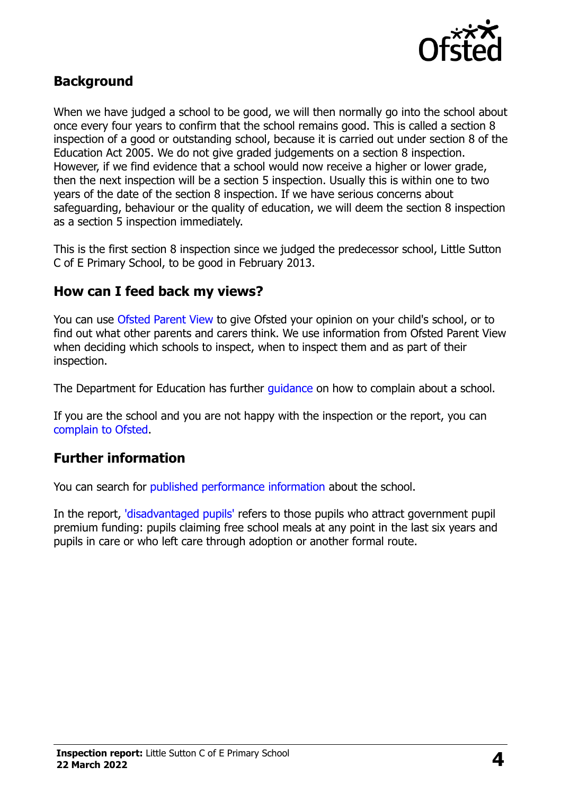

#### **Background**

When we have judged a school to be good, we will then normally go into the school about once every four years to confirm that the school remains good. This is called a section 8 inspection of a good or outstanding school, because it is carried out under section 8 of the Education Act 2005. We do not give graded judgements on a section 8 inspection. However, if we find evidence that a school would now receive a higher or lower grade, then the next inspection will be a section 5 inspection. Usually this is within one to two years of the date of the section 8 inspection. If we have serious concerns about safeguarding, behaviour or the quality of education, we will deem the section 8 inspection as a section 5 inspection immediately.

This is the first section 8 inspection since we judged the predecessor school, Little Sutton C of E Primary School, to be good in February 2013.

#### **How can I feed back my views?**

You can use [Ofsted Parent View](https://parentview.ofsted.gov.uk/) to give Ofsted your opinion on your child's school, or to find out what other parents and carers think. We use information from Ofsted Parent View when deciding which schools to inspect, when to inspect them and as part of their inspection.

The Department for Education has further quidance on how to complain about a school.

If you are the school and you are not happy with the inspection or the report, you can [complain to Ofsted.](https://www.gov.uk/complain-ofsted-report)

#### **Further information**

You can search for [published performance information](http://www.compare-school-performance.service.gov.uk/) about the school.

In the report, ['disadvantaged pupils'](http://www.gov.uk/guidance/pupil-premium-information-for-schools-and-alternative-provision-settings) refers to those pupils who attract government pupil premium funding: pupils claiming free school meals at any point in the last six years and pupils in care or who left care through adoption or another formal route.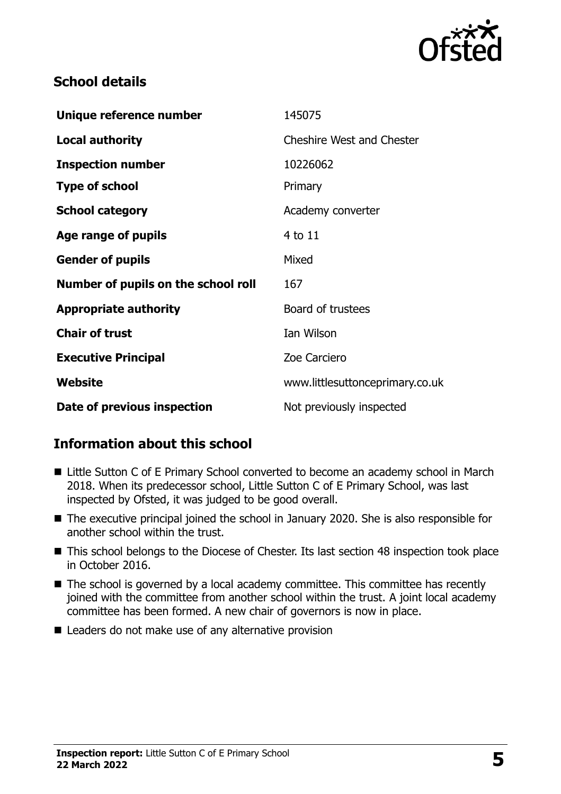

### **School details**

| Unique reference number             | 145075                           |
|-------------------------------------|----------------------------------|
| <b>Local authority</b>              | <b>Cheshire West and Chester</b> |
| <b>Inspection number</b>            | 10226062                         |
| <b>Type of school</b>               | Primary                          |
| <b>School category</b>              | Academy converter                |
| Age range of pupils                 | $4$ to $11$                      |
| <b>Gender of pupils</b>             | Mixed                            |
| Number of pupils on the school roll | 167                              |
| <b>Appropriate authority</b>        | Board of trustees                |
| <b>Chair of trust</b>               | Ian Wilson                       |
| <b>Executive Principal</b>          | Zoe Carciero                     |
| Website                             | www.littlesuttonceprimary.co.uk  |
| Date of previous inspection         | Not previously inspected         |

# **Information about this school**

- Little Sutton C of E Primary School converted to become an academy school in March 2018. When its predecessor school, Little Sutton C of E Primary School, was last inspected by Ofsted, it was judged to be good overall.
- The executive principal joined the school in January 2020. She is also responsible for another school within the trust.
- This school belongs to the Diocese of Chester. Its last section 48 inspection took place in October 2016.
- The school is governed by a local academy committee. This committee has recently joined with the committee from another school within the trust. A joint local academy committee has been formed. A new chair of governors is now in place.
- Leaders do not make use of any alternative provision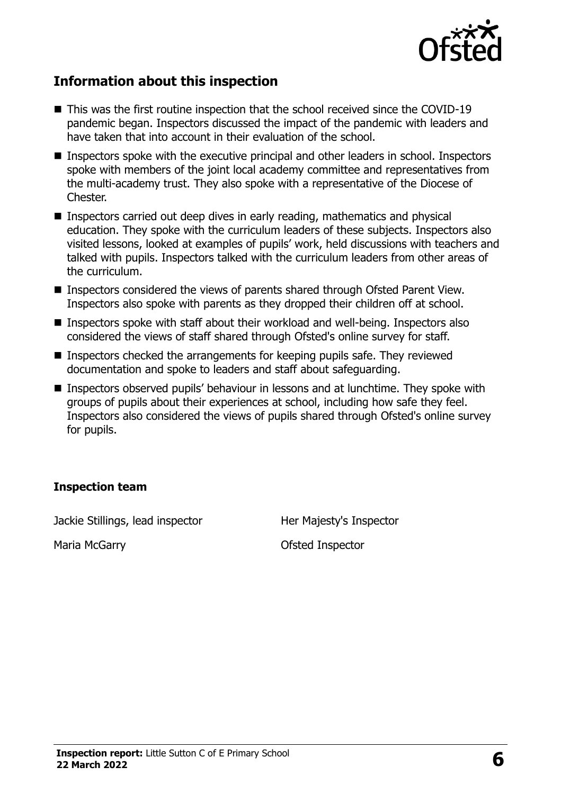

### **Information about this inspection**

- This was the first routine inspection that the school received since the COVID-19 pandemic began. Inspectors discussed the impact of the pandemic with leaders and have taken that into account in their evaluation of the school.
- Inspectors spoke with the executive principal and other leaders in school. Inspectors spoke with members of the joint local academy committee and representatives from the multi-academy trust. They also spoke with a representative of the Diocese of Chester.
- Inspectors carried out deep dives in early reading, mathematics and physical education. They spoke with the curriculum leaders of these subjects. Inspectors also visited lessons, looked at examples of pupils' work, held discussions with teachers and talked with pupils. Inspectors talked with the curriculum leaders from other areas of the curriculum.
- Inspectors considered the views of parents shared through Ofsted Parent View. Inspectors also spoke with parents as they dropped their children off at school.
- Inspectors spoke with staff about their workload and well-being. Inspectors also considered the views of staff shared through Ofsted's online survey for staff.
- **Inspectors checked the arrangements for keeping pupils safe. They reviewed** documentation and spoke to leaders and staff about safeguarding.
- Inspectors observed pupils' behaviour in lessons and at lunchtime. They spoke with groups of pupils about their experiences at school, including how safe they feel. Inspectors also considered the views of pupils shared through Ofsted's online survey for pupils.

#### **Inspection team**

Jackie Stillings, lead inspector **Her Majesty's Inspector** 

Maria McGarry **Carry Communist Contract Contract Contract Contract Contract Contract Contract Contract Contract Contract Contract Contract Contract Contract Contract Contract Contract Contract Contract Contract Contract Co**